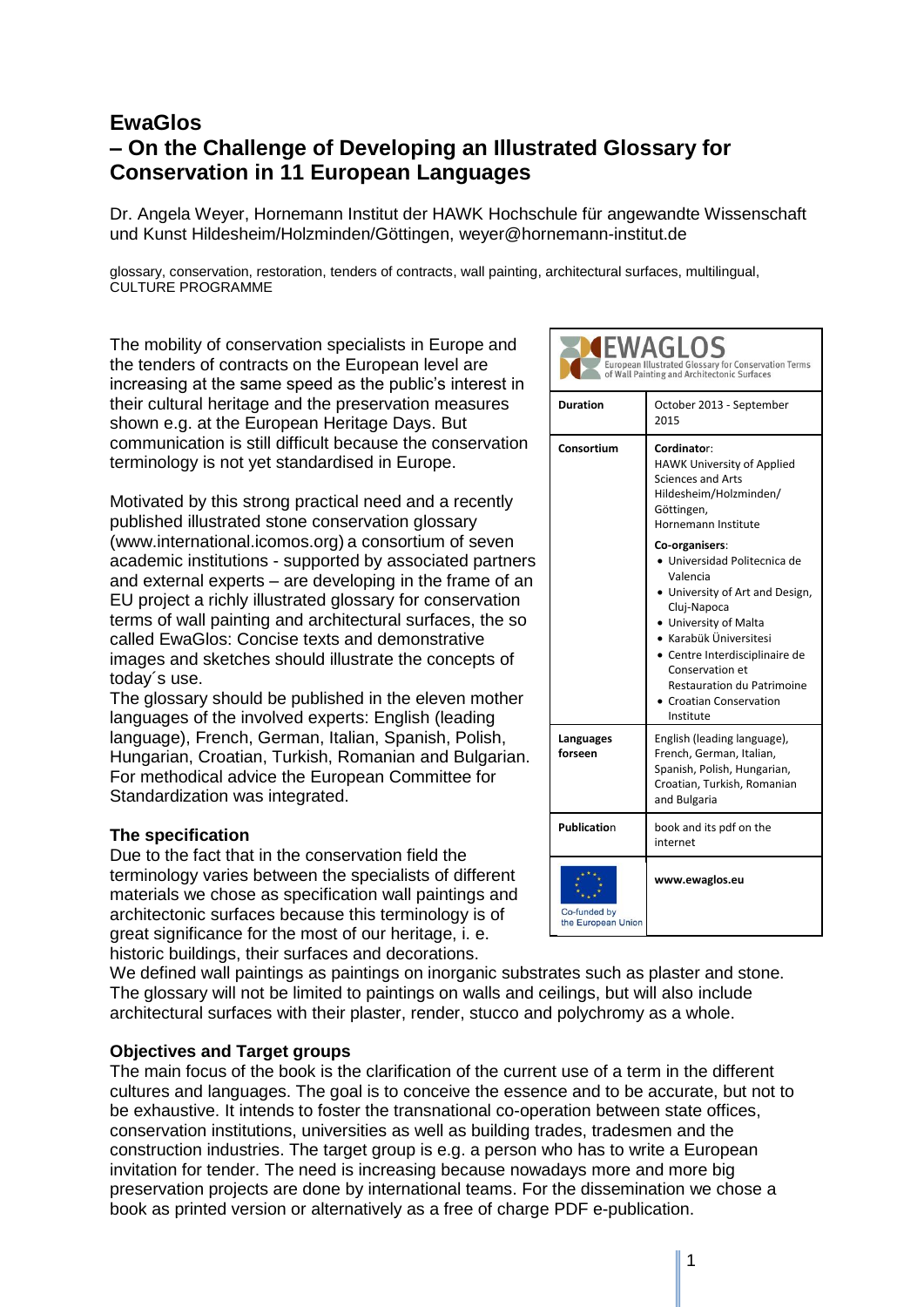# **EwaGlos – On the Challenge of Developing an Illustrated Glossary for Conservation in 11 European Languages**

Dr. Angela Weyer, Hornemann Institut der HAWK Hochschule für angewandte Wissenschaft und Kunst Hildesheim/Holzminden/Göttingen, weyer@hornemann-institut.de

glossary, conservation, restoration, tenders of contracts, wall painting, architectural surfaces, multilingual, CULTURE PROGRAMME

The mobility of conservation specialists in Europe and the tenders of contracts on the European level are increasing at the same speed as the public's interest in their cultural heritage and the preservation measures shown e.g. at the European Heritage Days. But communication is still difficult because the conservation terminology is not yet standardised in Europe.

Motivated by this strong practical need and a recently published illustrated stone conservation glossary (www.international.icomos.org) a consortium of seven academic institutions - supported by associated partners and external experts – are developing in the frame of an EU project a richly illustrated glossary for conservation terms of wall painting and architectural surfaces, the so called EwaGlos: Concise texts and demonstrative images and sketches should illustrate the concepts of today´s use.

The glossary should be published in the eleven mother languages of the involved experts: English (leading language), French, German, Italian, Spanish, Polish, Hungarian, Croatian, Turkish, Romanian and Bulgarian. For methodical advice the European Committee for Standardization was integrated.

# **The specification**

Due to the fact that in the conservation field the terminology varies between the specialists of different materials we chose as specification wall paintings and architectonic surfaces because this terminology is of great significance for the most of our heritage, i. e. historic buildings, their surfaces and decorations.

We defined wall paintings as paintings on inorganic substrates such as plaster and stone. The glossary will not be limited to paintings on walls and ceilings, but will also include architectural surfaces with their plaster, render, stucco and polychromy as a whole.

#### **Objectives and Target groups**

The main focus of the book is the clarification of the current use of a term in the different cultures and languages. The goal is to conceive the essence and to be accurate, but not to be exhaustive. It intends to foster the transnational co-operation between state offices, conservation institutions, universities as well as building trades, tradesmen and the construction industries. The target group is e.g. a person who has to write a European invitation for tender. The need is increasing because nowadays more and more big preservation projects are done by international teams. For the dissemination we chose a book as printed version or alternatively as a free of charge PDF e-publication.

| European Illustrated Glossary for Conservation Terms<br>of Wall Painting and Architectonic Surfaces |                                                                                                                                                                                                                                                                                                  |
|-----------------------------------------------------------------------------------------------------|--------------------------------------------------------------------------------------------------------------------------------------------------------------------------------------------------------------------------------------------------------------------------------------------------|
| <b>Duration</b>                                                                                     | October 2013 - September<br>2015                                                                                                                                                                                                                                                                 |
| Consortium                                                                                          | Cordinator:<br><b>HAWK University of Applied</b><br><b>Sciences and Arts</b><br>Hildesheim/Holzminden/<br>Göttingen,<br>Hornemann Institute                                                                                                                                                      |
|                                                                                                     | Co-organisers:<br>Universidad Politecnica de<br>Valencia<br>. University of Art and Design,<br>Cluj-Napoca<br>• University of Malta<br>$\bullet\,$ Karabük Üniversitesi<br>• Centre Interdisciplinaire de<br>Conservation et<br>Restauration du Patrimoine<br>Croatian Conservation<br>Institute |
| Languages<br>forseen                                                                                | English (leading language),<br>French, German, Italian,<br>Spanish, Polish, Hungarian,<br>Croatian, Turkish, Romanian<br>and Bulgaria                                                                                                                                                            |
| <b>Publication</b>                                                                                  | book and its pdf on the<br>internet                                                                                                                                                                                                                                                              |
| Co-funded by<br>the European Union                                                                  | www.ewaglos.eu                                                                                                                                                                                                                                                                                   |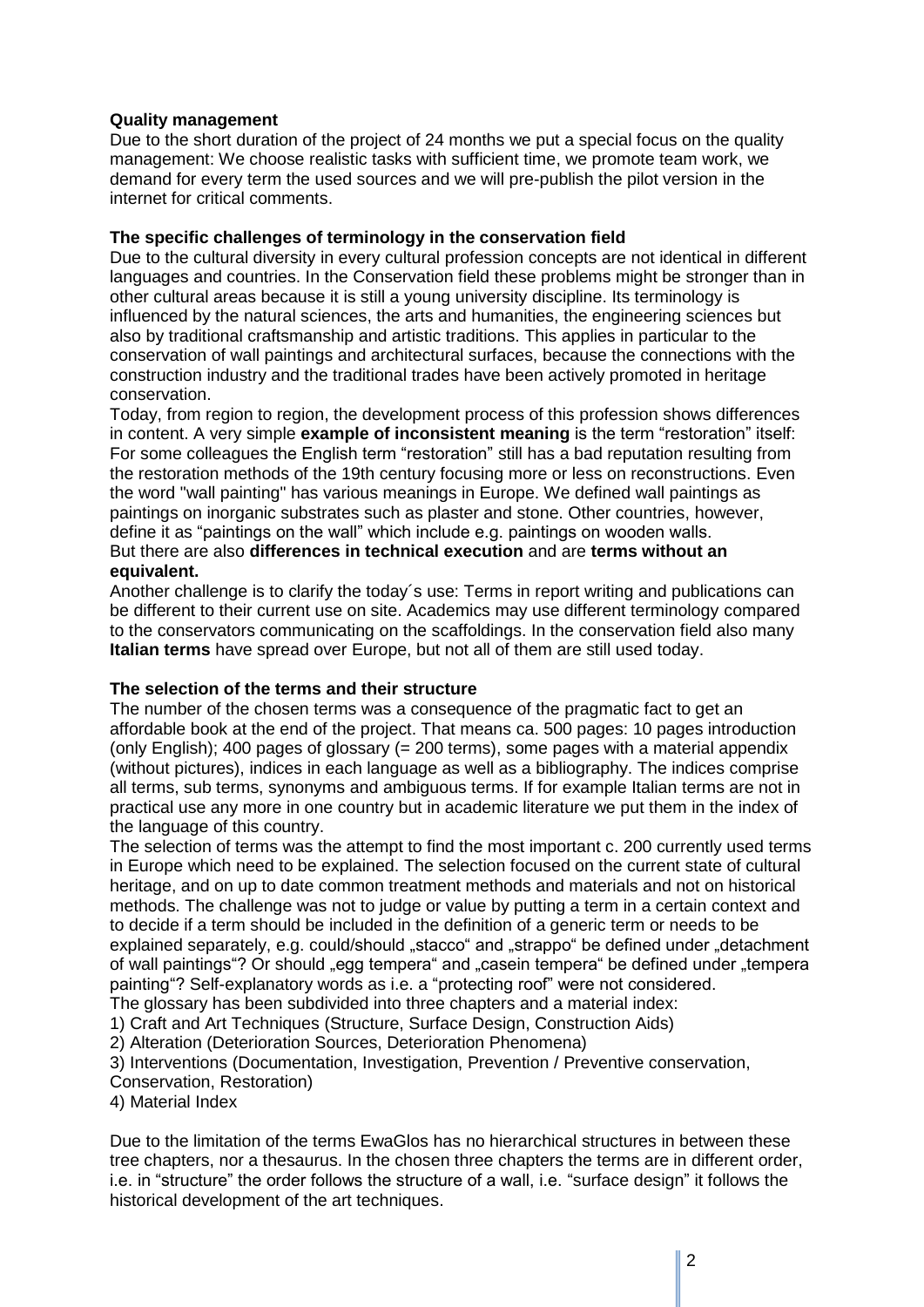# **Quality management**

Due to the short duration of the project of 24 months we put a special focus on the quality management: We choose realistic tasks with sufficient time, we promote team work, we demand for every term the used sources and we will pre-publish the pilot version in the internet for critical comments.

# **The specific challenges of terminology in the conservation field**

Due to the cultural diversity in every cultural profession concepts are not identical in different languages and countries. In the Conservation field these problems might be stronger than in other cultural areas because it is still a young university discipline. Its terminology is influenced by the natural sciences, the arts and humanities, the engineering sciences but also by traditional craftsmanship and artistic traditions. This applies in particular to the conservation of wall paintings and architectural surfaces, because the connections with the construction industry and the traditional trades have been actively promoted in heritage conservation.

Today, from region to region, the development process of this profession shows differences in content. A very simple **example of inconsistent meaning** is the term "restoration" itself: For some colleagues the English term "restoration" still has a bad reputation resulting from the restoration methods of the 19th century focusing more or less on reconstructions. Even the word "wall painting" has various meanings in Europe. We defined wall paintings as paintings on inorganic substrates such as plaster and stone. Other countries, however, define it as "paintings on the wall" which include e.g. paintings on wooden walls. But there are also **differences in technical execution** and are **terms without an equivalent.**

### Another challenge is to clarify the today´s use: Terms in report writing and publications can be different to their current use on site. Academics may use different terminology compared to the conservators communicating on the scaffoldings. In the conservation field also many **Italian terms** have spread over Europe, but not all of them are still used today.

#### **The selection of the terms and their structure**

The number of the chosen terms was a consequence of the pragmatic fact to get an affordable book at the end of the project. That means ca. 500 pages: 10 pages introduction (only English); 400 pages of glossary (= 200 terms), some pages with a material appendix (without pictures), indices in each language as well as a bibliography. The indices comprise all terms, sub terms, synonyms and ambiguous terms. If for example Italian terms are not in practical use any more in one country but in academic literature we put them in the index of the language of this country.

The selection of terms was the attempt to find the most important c. 200 currently used terms in Europe which need to be explained. The selection focused on the current state of cultural heritage, and on up to date common treatment methods and materials and not on historical methods. The challenge was not to judge or value by putting a term in a certain context and to decide if a term should be included in the definition of a generic term or needs to be explained separately, e.g. could/should "stacco" and "strappo" be defined under "detachment" of wall paintings "? Or should "egg tempera" and "casein tempera" be defined under "tempera painting"? Self-explanatory words as i.e. a "protecting roof" were not considered. The glossary has been subdivided into three chapters and a material index:

1) Craft and Art Techniques (Structure, Surface Design, Construction Aids)

2) Alteration (Deterioration Sources, Deterioration Phenomena)

3) Interventions (Documentation, Investigation, Prevention / Preventive conservation,

Conservation, Restoration)

4) Material Index

Due to the limitation of the terms EwaGlos has no hierarchical structures in between these tree chapters, nor a thesaurus. In the chosen three chapters the terms are in different order, i.e. in "structure" the order follows the structure of a wall, i.e. "surface design" it follows the historical development of the art techniques.